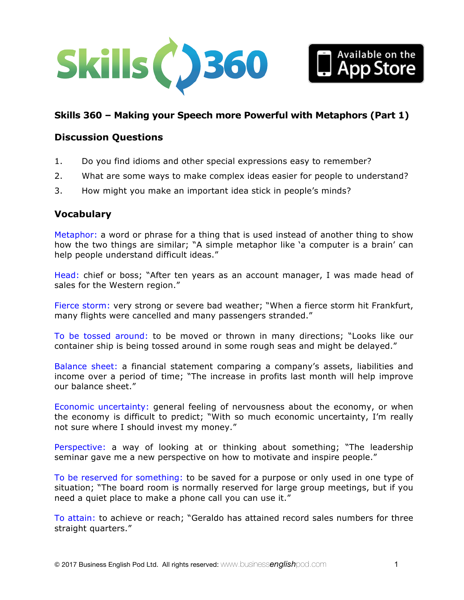



### **Discussion Questions**

- 1. Do you find idioms and other special expressions easy to remember?
- 2. What are some ways to make complex ideas easier for people to understand?
- 3. How might you make an important idea stick in people's minds?

#### **Vocabulary**

Metaphor: a word or phrase for a thing that is used instead of another thing to show how the two things are similar; "A simple metaphor like 'a computer is a brain' can help people understand difficult ideas."

Head: chief or boss; "After ten years as an account manager, I was made head of sales for the Western region."

Fierce storm: very strong or severe bad weather; "When a fierce storm hit Frankfurt, many flights were cancelled and many passengers stranded."

To be tossed around: to be moved or thrown in many directions; "Looks like our container ship is being tossed around in some rough seas and might be delayed."

Balance sheet: a financial statement comparing a company's assets, liabilities and income over a period of time; "The increase in profits last month will help improve our balance sheet."

Economic uncertainty: general feeling of nervousness about the economy, or when the economy is difficult to predict; "With so much economic uncertainty, I'm really not sure where I should invest my money."

Perspective: a way of looking at or thinking about something; "The leadership seminar gave me a new perspective on how to motivate and inspire people."

To be reserved for something: to be saved for a purpose or only used in one type of situation; "The board room is normally reserved for large group meetings, but if you need a quiet place to make a phone call you can use it."

To attain: to achieve or reach; "Geraldo has attained record sales numbers for three straight quarters."

Available on the<br>Ann Store pp Store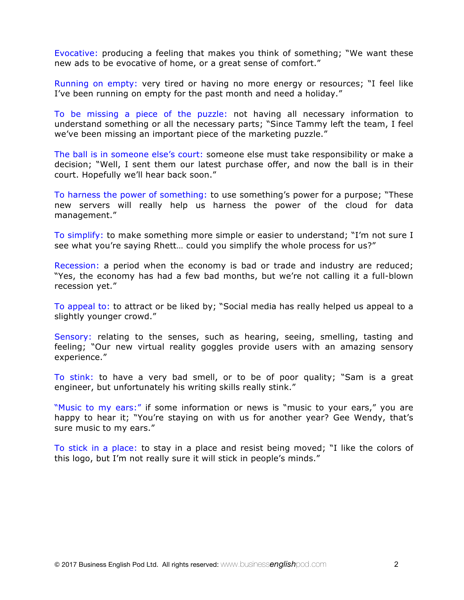Evocative: producing a feeling that makes you think of something; "We want these new ads to be evocative of home, or a great sense of comfort."

Running on empty: very tired or having no more energy or resources; "I feel like I've been running on empty for the past month and need a holiday."

To be missing a piece of the puzzle: not having all necessary information to understand something or all the necessary parts; "Since Tammy left the team, I feel we've been missing an important piece of the marketing puzzle."

The ball is in someone else's court: someone else must take responsibility or make a decision; "Well, I sent them our latest purchase offer, and now the ball is in their court. Hopefully we'll hear back soon."

To harness the power of something: to use something's power for a purpose; "These new servers will really help us harness the power of the cloud for data management."

To simplify: to make something more simple or easier to understand; "I'm not sure I see what you're saying Rhett… could you simplify the whole process for us?"

Recession: a period when the economy is bad or trade and industry are reduced; "Yes, the economy has had a few bad months, but we're not calling it a full-blown recession yet."

To appeal to: to attract or be liked by; "Social media has really helped us appeal to a slightly younger crowd."

Sensory: relating to the senses, such as hearing, seeing, smelling, tasting and feeling; "Our new virtual reality goggles provide users with an amazing sensory experience."

To stink: to have a very bad smell, or to be of poor quality; "Sam is a great engineer, but unfortunately his writing skills really stink."

"Music to my ears:" if some information or news is "music to your ears," you are happy to hear it; "You're staying on with us for another year? Gee Wendy, that's sure music to my ears."

To stick in a place: to stay in a place and resist being moved; "I like the colors of this logo, but I'm not really sure it will stick in people's minds."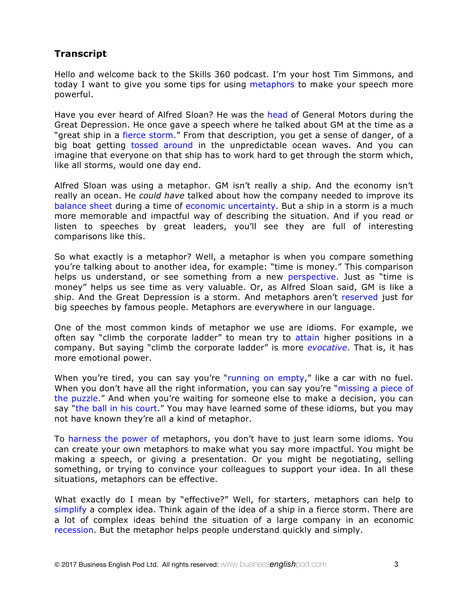# **Transcript**

Hello and welcome back to the Skills 360 podcast. I'm your host Tim Simmons, and today I want to give you some tips for using metaphors to make your speech more powerful.

Have you ever heard of Alfred Sloan? He was the head of General Motors during the Great Depression. He once gave a speech where he talked about GM at the time as a "great ship in a fierce storm." From that description, you get a sense of danger, of a big boat getting tossed around in the unpredictable ocean waves. And you can imagine that everyone on that ship has to work hard to get through the storm which, like all storms, would one day end.

Alfred Sloan was using a metaphor. GM isn't really a ship. And the economy isn't really an ocean. He *could have* talked about how the company needed to improve its balance sheet during a time of economic uncertainty. But a ship in a storm is a much more memorable and impactful way of describing the situation. And if you read or listen to speeches by great leaders, you'll see they are full of interesting comparisons like this.

So what exactly is a metaphor? Well, a metaphor is when you compare something you're talking about to another idea, for example: "time is money." This comparison helps us understand, or see something from a new perspective. Just as "time is money" helps us see time as very valuable. Or, as Alfred Sloan said, GM is like a ship. And the Great Depression is a storm. And metaphors aren't reserved just for big speeches by famous people. Metaphors are everywhere in our language.

One of the most common kinds of metaphor we use are idioms. For example, we often say "climb the corporate ladder" to mean try to attain higher positions in a company. But saying "climb the corporate ladder" is more *evocative*. That is, it has more emotional power.

When you're tired, you can say you're "running on empty," like a car with no fuel. When you don't have all the right information, you can say you're "missing a piece of the puzzle." And when you're waiting for someone else to make a decision, you can say "the ball in his court." You may have learned some of these idioms, but you may not have known they're all a kind of metaphor.

To harness the power of metaphors, you don't have to just learn some idioms. You can create your own metaphors to make what you say more impactful. You might be making a speech, or giving a presentation. Or you might be negotiating, selling something, or trying to convince your colleagues to support your idea. In all these situations, metaphors can be effective.

What exactly do I mean by "effective?" Well, for starters, metaphors can help to simplify a complex idea. Think again of the idea of a ship in a fierce storm. There are a lot of complex ideas behind the situation of a large company in an economic recession. But the metaphor helps people understand quickly and simply.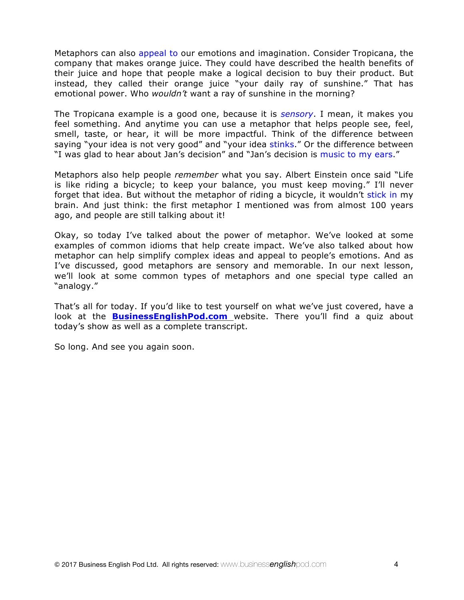Metaphors can also appeal to our emotions and imagination. Consider Tropicana, the company that makes orange juice. They could have described the health benefits of their juice and hope that people make a logical decision to buy their product. But instead, they called their orange juice "your daily ray of sunshine." That has emotional power. Who *wouldn't* want a ray of sunshine in the morning?

The Tropicana example is a good one, because it is *sensory*. I mean, it makes you feel something. And anytime you can use a metaphor that helps people see, feel, smell, taste, or hear, it will be more impactful. Think of the difference between saying "your idea is not very good" and "your idea stinks." Or the difference between "I was glad to hear about Jan's decision" and "Jan's decision is music to my ears."

Metaphors also help people *remember* what you say. Albert Einstein once said "Life is like riding a bicycle; to keep your balance, you must keep moving." I'll never forget that idea. But without the metaphor of riding a bicycle, it wouldn't stick in my brain. And just think: the first metaphor I mentioned was from almost 100 years ago, and people are still talking about it!

Okay, so today I've talked about the power of metaphor. We've looked at some examples of common idioms that help create impact. We've also talked about how metaphor can help simplify complex ideas and appeal to people's emotions. And as I've discussed, good metaphors are sensory and memorable. In our next lesson, we'll look at some common types of metaphors and one special type called an "analogy."

That's all for today. If you'd like to test yourself on what we've just covered, have a look at the **BusinessEnglishPod.com** website. There you'll find a quiz about today's show as well as a complete transcript.

So long. And see you again soon.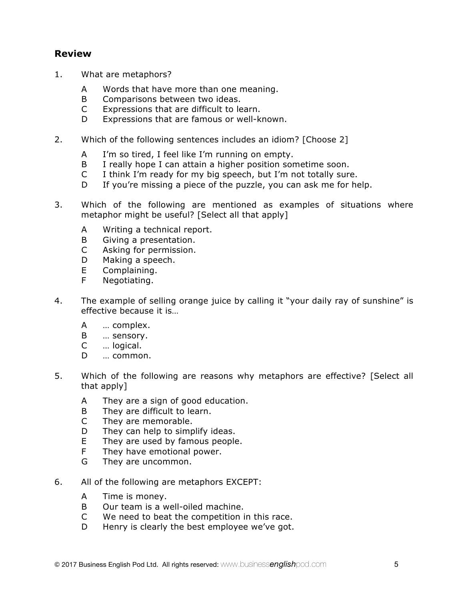## **Review**

- 1. What are metaphors?
	- A Words that have more than one meaning.
	- B Comparisons between two ideas.
	- C Expressions that are difficult to learn.
	- D Expressions that are famous or well-known.
- 2. Which of the following sentences includes an idiom? [Choose 2]
	- A I'm so tired, I feel like I'm running on empty.
	- B I really hope I can attain a higher position sometime soon.
	- C I think I'm ready for my big speech, but I'm not totally sure.
	- D If you're missing a piece of the puzzle, you can ask me for help.
- 3. Which of the following are mentioned as examples of situations where metaphor might be useful? [Select all that apply]
	- A Writing a technical report.
	- B Giving a presentation.
	- C Asking for permission.
	- D Making a speech.
	- E Complaining.
	- F Negotiating.
- 4. The example of selling orange juice by calling it "your daily ray of sunshine" is effective because it is…
	- A … complex.
	- B … sensory.
	- C … logical.
	- D … common.
- 5. Which of the following are reasons why metaphors are effective? [Select all that apply]
	- A They are a sign of good education.
	- B They are difficult to learn.
	- C They are memorable.
	- D They can help to simplify ideas.
	- E They are used by famous people.
	- F They have emotional power.
	- G They are uncommon.
- 6. All of the following are metaphors EXCEPT:
	- A Time is money.
	- B Our team is a well-oiled machine.
	- C We need to beat the competition in this race.
	- D Henry is clearly the best employee we've got.